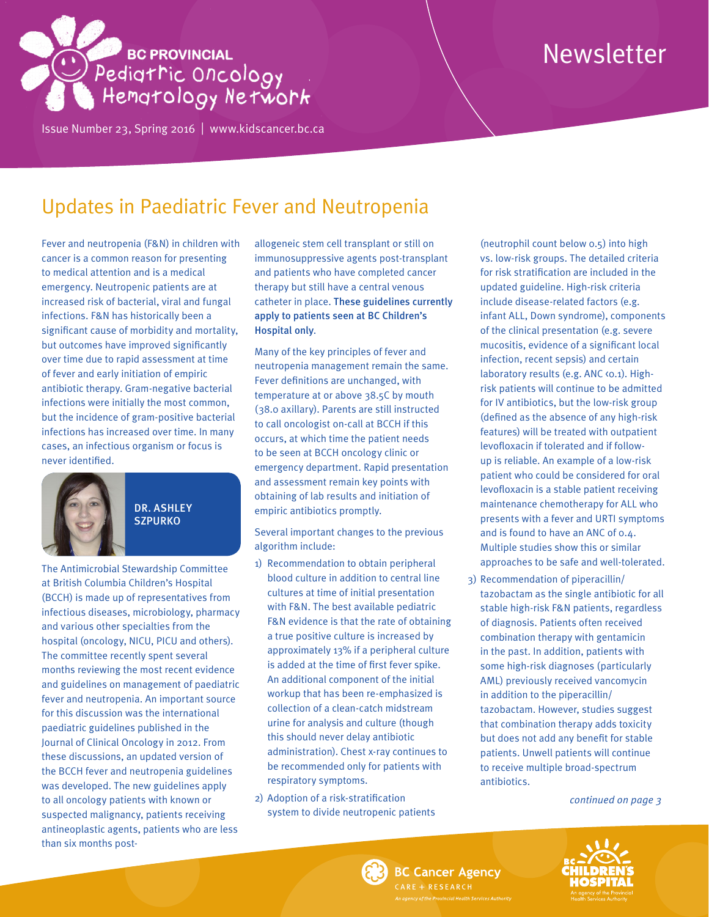# **BC PROVINCIAL** Pediatric Oncology

Issue Number 23, Spring 2016 | <www.kidscancer.bc.ca>

## Newsletter

### Updates in Paediatric Fever and Neutropenia

Fever and neutropenia (F&N) in children with cancer is a common reason for presenting to medical attention and is a medical emergency. Neutropenic patients are at increased risk of bacterial, viral and fungal infections. F&N has historically been a significant cause of morbidity and mortality, but outcomes have improved significantly over time due to rapid assessment at time of fever and early initiation of empiric antibiotic therapy. Gram-negative bacterial infections were initially the most common, but the incidence of gram-positive bacterial infections has increased over time. In many cases, an infectious organism or focus is never identified.



DR. ASHLEY **SZPURKO** 

The Antimicrobial Stewardship Committee at British Columbia Children's Hospital (BCCH) is made up of representatives from infectious diseases, microbiology, pharmacy and various other specialties from the hospital (oncology, NICU, PICU and others). The committee recently spent several months reviewing the most recent evidence and guidelines on management of paediatric fever and neutropenia. An important source for this discussion was the international paediatric guidelines published in the Journal of Clinical Oncology in 2012. From these discussions, an updated version of the BCCH fever and neutropenia guidelines was developed. The new guidelines apply to all oncology patients with known or suspected malignancy, patients receiving antineoplastic agents, patients who are less than six months postallogeneic stem cell transplant or still on immunosuppressive agents post-transplant and patients who have completed cancer therapy but still have a central venous catheter in place. These guidelines currently apply to patients seen at BC Children's Hospital only.

Many of the key principles of fever and neutropenia management remain the same. Fever definitions are unchanged, with temperature at or above 38.5C by mouth (38.0 axillary). Parents are still instructed to call oncologist on-call at BCCH if this occurs, at which time the patient needs to be seen at BCCH oncology clinic or emergency department. Rapid presentation and assessment remain key points with obtaining of lab results and initiation of empiric antibiotics promptly.

Several important changes to the previous algorithm include:

- 1) Recommendation to obtain peripheral blood culture in addition to central line cultures at time of initial presentation with F&N. The best available pediatric F&N evidence is that the rate of obtaining a true positive culture is increased by approximately 13% if a peripheral culture is added at the time of first fever spike. An additional component of the initial workup that has been re-emphasized is collection of a clean-catch midstream urine for analysis and culture (though this should never delay antibiotic administration). Chest x-ray continues to be recommended only for patients with respiratory symptoms.
- 2) Adoption of a risk-stratification system to divide neutropenic patients

(neutrophil count below 0.5) into high vs. low-risk groups. The detailed criteria for risk stratification are included in the updated guideline. High-risk criteria include disease-related factors (e.g. infant ALL, Down syndrome), components of the clinical presentation (e.g. severe mucositis, evidence of a significant local infection, recent sepsis) and certain laboratory results (e.g. ANC <0.1). Highrisk patients will continue to be admitted for IV antibiotics, but the low-risk group (defined as the absence of any high-risk features) will be treated with outpatient levofloxacin if tolerated and if followup is reliable. An example of a low-risk patient who could be considered for oral levofloxacin is a stable patient receiving maintenance chemotherapy for ALL who presents with a fever and URTI symptoms and is found to have an ANC of 0.4. Multiple studies show this or similar approaches to be safe and well-tolerated.

3) Recommendation of piperacillin/ tazobactam as the single antibiotic for all stable high-risk F&N patients, regardless of diagnosis. Patients often received combination therapy with gentamicin in the past. In addition, patients with some high-risk diagnoses (particularly AML) previously received vancomycin in addition to the piperacillin/ tazobactam. However, studies suggest that combination therapy adds toxicity but does not add any benefit for stable patients. Unwell patients will continue to receive multiple broad-spectrum antibiotics.

*continued on page 3*



### **BC Cancer Agency** ARE + RESEARCH

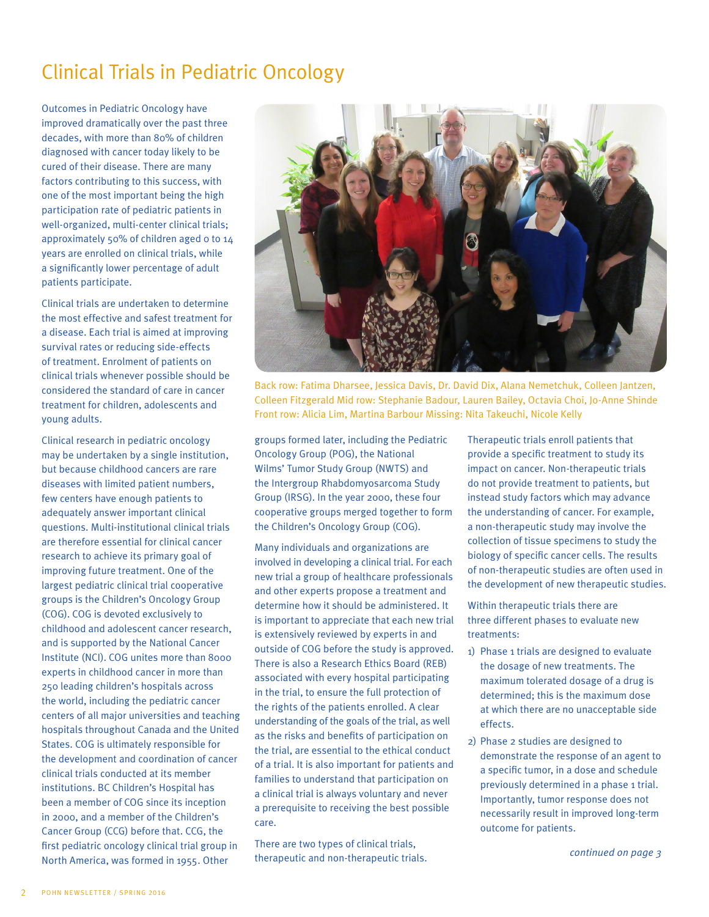### Clinical Trials in Pediatric Oncology

Outcomes in Pediatric Oncology have improved dramatically over the past three decades, with more than 80% of children diagnosed with cancer today likely to be cured of their disease. There are many factors contributing to this success, with one of the most important being the high participation rate of pediatric patients in well-organized, multi-center clinical trials; approximately 50% of children aged 0 to 14 years are enrolled on clinical trials, while a significantly lower percentage of adult patients participate.

Clinical trials are undertaken to determine the most effective and safest treatment for a disease. Each trial is aimed at improving survival rates or reducing side-effects of treatment. Enrolment of patients on clinical trials whenever possible should be considered the standard of care in cancer treatment for children, adolescents and young adults.

Clinical research in pediatric oncology may be undertaken by a single institution, but because childhood cancers are rare diseases with limited patient numbers, few centers have enough patients to adequately answer important clinical questions. Multi-institutional clinical trials are therefore essential for clinical cancer research to achieve its primary goal of improving future treatment. One of the largest pediatric clinical trial cooperative groups is the Children's Oncology Group (COG). COG is devoted exclusively to childhood and adolescent cancer research, and is supported by the National Cancer Institute (NCI). COG unites more than 8000 experts in childhood cancer in more than 250 leading children's hospitals across the world, including the pediatric cancer centers of all major universities and teaching hospitals throughout Canada and the United States. COG is ultimately responsible for the development and coordination of cancer clinical trials conducted at its member institutions. BC Children's Hospital has been a member of COG since its inception in 2000, and a member of the Children's Cancer Group (CCG) before that. CCG, the first pediatric oncology clinical trial group in North America, was formed in 1955. Other



Back row: Fatima Dharsee, Jessica Davis, Dr. David Dix, Alana Nemetchuk, Colleen Jantzen, Colleen Fitzgerald Mid row: Stephanie Badour, Lauren Bailey, Octavia Choi, Jo-Anne Shinde Front row: Alicia Lim, Martina Barbour Missing: Nita Takeuchi, Nicole Kelly

groups formed later, including the Pediatric Oncology Group (POG), the National Wilms' Tumor Study Group (NWTS) and the Intergroup Rhabdomyosarcoma Study Group (IRSG). In the year 2000, these four cooperative groups merged together to form the Children's Oncology Group (COG).

Many individuals and organizations are involved in developing a clinical trial. For each new trial a group of healthcare professionals and other experts propose a treatment and determine how it should be administered. It is important to appreciate that each new trial is extensively reviewed by experts in and outside of COG before the study is approved. There is also a Research Ethics Board (REB) associated with every hospital participating in the trial, to ensure the full protection of the rights of the patients enrolled. A clear understanding of the goals of the trial, as well as the risks and benefits of participation on the trial, are essential to the ethical conduct of a trial. It is also important for patients and families to understand that participation on a clinical trial is always voluntary and never a prerequisite to receiving the best possible care.

There are two types of clinical trials, therapeutic and non-therapeutic trials. Therapeutic trials enroll patients that provide a specific treatment to study its impact on cancer. Non-therapeutic trials do not provide treatment to patients, but instead study factors which may advance the understanding of cancer. For example, a non-therapeutic study may involve the collection of tissue specimens to study the biology of specific cancer cells. The results of non-therapeutic studies are often used in the development of new therapeutic studies.

Within therapeutic trials there are three different phases to evaluate new treatments:

- 1) Phase 1 trials are designed to evaluate the dosage of new treatments. The maximum tolerated dosage of a drug is determined; this is the maximum dose at which there are no unacceptable side effects.
- 2) Phase 2 studies are designed to demonstrate the response of an agent to a specific tumor, in a dose and schedule previously determined in a phase 1 trial. Importantly, tumor response does not necessarily result in improved long-term outcome for patients.

*continued on page 3*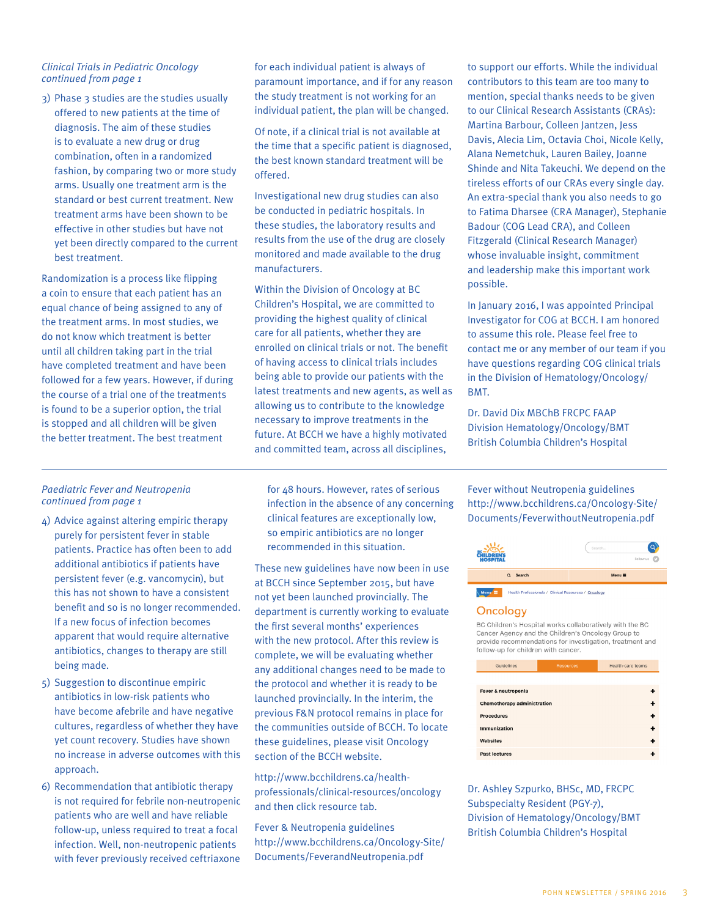#### *Clinical Trials in Pediatric Oncology continued from page 1*

3) Phase 3 studies are the studies usually offered to new patients at the time of diagnosis. The aim of these studies is to evaluate a new drug or drug combination, often in a randomized fashion, by comparing two or more study arms. Usually one treatment arm is the standard or best current treatment. New treatment arms have been shown to be effective in other studies but have not yet been directly compared to the current best treatment.

Randomization is a process like flipping a coin to ensure that each patient has an equal chance of being assigned to any of the treatment arms. In most studies, we do not know which treatment is better until all children taking part in the trial have completed treatment and have been followed for a few years. However, if during the course of a trial one of the treatments is found to be a superior option, the trial is stopped and all children will be given the better treatment. The best treatment

### for each individual patient is always of paramount importance, and if for any reason the study treatment is not working for an individual patient, the plan will be changed.

Of note, if a clinical trial is not available at the time that a specific patient is diagnosed, the best known standard treatment will be offered.

Investigational new drug studies can also be conducted in pediatric hospitals. In these studies, the laboratory results and results from the use of the drug are closely monitored and made available to the drug manufacturers.

Within the Division of Oncology at BC Children's Hospital, we are committed to providing the highest quality of clinical care for all patients, whether they are enrolled on clinical trials or not. The benefit of having access to clinical trials includes being able to provide our patients with the latest treatments and new agents, as well as allowing us to contribute to the knowledge necessary to improve treatments in the future. At BCCH we have a highly motivated and committed team, across all disciplines,

to support our efforts. While the individual contributors to this team are too many to mention, special thanks needs to be given to our Clinical Research Assistants (CRAs): Martina Barbour, Colleen Jantzen, Jess Davis, Alecia Lim, Octavia Choi, Nicole Kelly, Alana Nemetchuk, Lauren Bailey, Joanne Shinde and Nita Takeuchi. We depend on the tireless efforts of our CRAs every single day. An extra-special thank you also needs to go to Fatima Dharsee (CRA Manager), Stephanie Badour (COG Lead CRA), and Colleen Fitzgerald (Clinical Research Manager) whose invaluable insight, commitment and leadership make this important work possible.

In January 2016, I was appointed Principal Investigator for COG at BCCH. I am honored to assume this role. Please feel free to contact me or any member of our team if you have questions regarding COG clinical trials in the Division of Hematology/Oncology/ BMT.

Dr. David Dix MBChB FRCPC FAAP Division Hematology/Oncology/BMT British Columbia Children's Hospital

#### *Paediatric Fever and Neutropenia continued from page 1*

- 4) Advice against altering empiric therapy purely for persistent fever in stable patients. Practice has often been to add additional antibiotics if patients have persistent fever (e.g. vancomycin), but this has not shown to have a consistent benefit and so is no longer recommended. If a new focus of infection becomes apparent that would require alternative antibiotics, changes to therapy are still being made.
- 5) Suggestion to discontinue empiric antibiotics in low-risk patients who have become afebrile and have negative cultures, regardless of whether they have yet count recovery. Studies have shown no increase in adverse outcomes with this approach.
- 6) Recommendation that antibiotic therapy is not required for febrile non-neutropenic patients who are well and have reliable follow-up, unless required to treat a focal infection. Well, non-neutropenic patients with fever previously received ceftriaxone

for 48 hours. However, rates of serious infection in the absence of any concerning clinical features are exceptionally low, so empiric antibiotics are no longer recommended in this situation.

These new guidelines have now been in use at BCCH since September 2015, but have not yet been launched provincially. The department is currently working to evaluate the first several months' experiences with the new protocol. After this review is complete, we will be evaluating whether any additional changes need to be made to the protocol and whether it is ready to be launched provincially. In the interim, the previous F&N protocol remains in place for the communities outside of BCCH. To locate these guidelines, please visit Oncology section of the BCCH website.

http://www.bcchildrens.ca/healthprofessionals/clinical-resources/oncology and then click resource tab.

Fever & Neutropenia guidelines http://www.bcchildrens.ca/Oncology-Site/ Documents/FeverandNeutropenia.pdf

Fever without Neutropenia guidelines http://www.bcchildrens.ca/Oncology-Site/ Documents/FeverwithoutNeutropenia.pdf



Health Professionals / Clinical Resources / Oncology

#### Oncology

BC Children's Hospital works collaboratively with the BC Cancer Agency and the Children's Oncology Group to provide recommendations for investigation, treatment and follow-up for children with cancer.

| Guidelines                         | <b>Resources</b> | <b>Health-care teams</b> |
|------------------------------------|------------------|--------------------------|
|                                    |                  |                          |
| Fever & neutropenia                |                  |                          |
| <b>Chemotherapy administration</b> |                  |                          |
| <b>Procedures</b>                  |                  |                          |
| Immunization                       |                  |                          |
| <b>Websites</b>                    |                  |                          |
| <b>Past lectures</b>               |                  |                          |

Dr. Ashley Szpurko, BHSc, MD, FRCPC Subspecialty Resident (PGY-7), Division of Hematology/Oncology/BMT British Columbia Children's Hospital